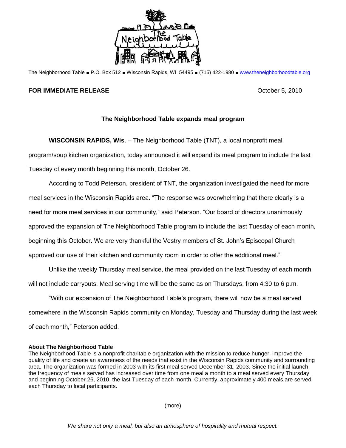

The Neighborhood Table ■ P.O. Box 512 ■ Wisconsin Rapids, WI 54495 ■ (715) 422-1980 ■ [www.theneighborhoodtable.org](http://www.theneighborhoodtable.org/)

## **FOR IMMEDIATE RELEASE COMPANY COMPANY COMPANY COMPANY COMPANY COMPANY COMPANY COMPANY COMPANY COMPANY COMPANY COMPANY COMPANY COMPANY COMPANY COMPANY COMPANY COMPANY COMPANY COMPANY**

## **The Neighborhood Table expands meal program**

**WISCONSIN RAPIDS, Wis**. – The Neighborhood Table (TNT), a local nonprofit meal program/soup kitchen organization, today announced it will expand its meal program to include the last Tuesday of every month beginning this month, October 26.

According to Todd Peterson, president of TNT, the organization investigated the need for more meal services in the Wisconsin Rapids area. "The response was overwhelming that there clearly is a need for more meal services in our community," said Peterson. "Our board of directors unanimously approved the expansion of The Neighborhood Table program to include the last Tuesday of each month, beginning this October. We are very thankful the Vestry members of St. John's Episcopal Church approved our use of their kitchen and community room in order to offer the additional meal."

Unlike the weekly Thursday meal service, the meal provided on the last Tuesday of each month will not include carryouts. Meal serving time will be the same as on Thursdays, from 4:30 to 6 p.m.

"With our expansion of The Neighborhood Table's program, there will now be a meal served somewhere in the Wisconsin Rapids community on Monday, Tuesday and Thursday during the last week of each month," Peterson added.

## **About The Neighborhood Table**

The Neighborhood Table is a nonprofit charitable organization with the mission to reduce hunger, improve the quality of life and create an awareness of the needs that exist in the Wisconsin Rapids community and surrounding area. The organization was formed in 2003 with its first meal served December 31, 2003. Since the initial launch, the frequency of meals served has increased over time from one meal a month to a meal served every Thursday and beginning October 26, 2010, the last Tuesday of each month. Currently, approximately 400 meals are served each Thursday to local participants.

(more)